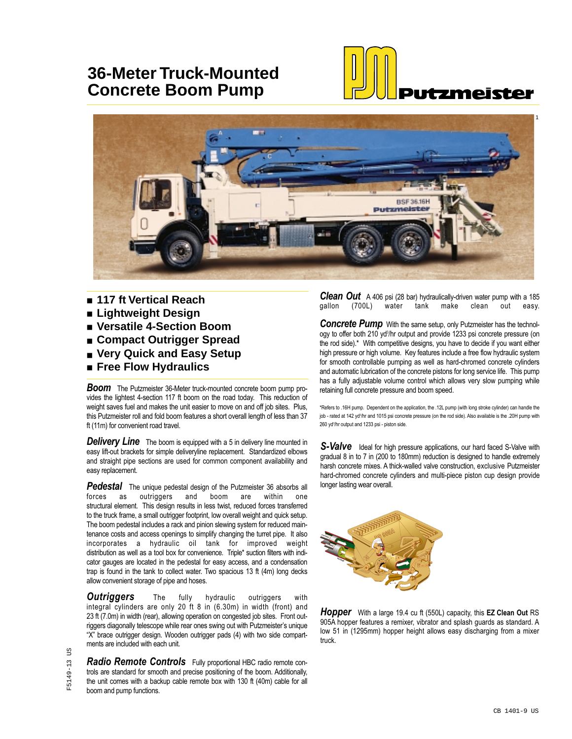## **36-Meter Truck-Mounted Concrete Boom Pump**





- 117 ft Vertical Reach
- **Lightweight Design**
- **Versatile 4-Section Boom**
- **Compact Outrigger Spread**
- Very Quick and Easy Setup
- **Free Flow Hydraulics**

*Boom* The Putzmeister 36-Meter truck-mounted concrete boom pump provides the lightest 4-section 117 ft boom on the road today. This reduction of weight saves fuel and makes the unit easier to move on and off job sites. Plus, this Putzmeister roll and fold boom features a short overall length of less than 37 ft (11m) for convenient road travel.

**Delivery Line** The boom is equipped with a 5 in delivery line mounted in easy lift-out brackets for simple deliveryline replacement. Standardized elbows and straight pipe sections are used for common component availability and easy replacement.

**Pedestal** The unique pedestal design of the Putzmeister 36 absorbs all forces as outriggers and boom are within one as outriggers and boom are within one structural element. This design results in less twist, reduced forces transferred to the truck frame, a small outrigger footprint, low overall weight and quick setup. The boom pedestal includes a rack and pinion slewing system for reduced maintenance costs and access openings to simplify changing the turret pipe. It also incorporates a hydraulic oil tank for improved weight distribution as well as a tool box for convenience. Triple\* suction filters with indicator gauges are located in the pedestal for easy access, and a condensation trap is found in the tank to collect water. Two spacious 13 ft (4m) long decks allow convenient storage of pipe and hoses.

**Outriggers** The fully hydraulic outriggers with integral cylinders are only 20 ft 8 in (6.30m) in width (front) and 23 ft (7.0m) in width (rear), allowing operation on congested job sites. Front outriggers diagonally telescope while rear ones swing out with Putzmeister's unique "X" brace outrigger design. Wooden outrigger pads (4) with two side compartments are included with each unit.

*Radio Remote Controls* Fully proportional HBC radio remote controls are standard for smooth and precise positioning of the boom. Additionally, the unit comes with a backup cable remote box with 130 ft (40m) cable for all boom and pump functions.

**Clean Out** A 406 psi (28 bar) hydraulically-driven water pump with a 185<br>gallon (700L) water tank make clean out easy. gallon (700L) water tank make clean out easy.

*Concrete Pump* With the same setup, only Putzmeister has the technology to offer both 210 yd<sup>3</sup>/hr output and provide 1233 psi concrete pressure (on the rod side).\* With competitive designs, you have to decide if you want either high pressure or high volume. Key features include a free flow hydraulic system for smooth controllable pumping as well as hard-chromed concrete cylinders and automatic lubrication of the concrete pistons for long service life. This pump has a fully adjustable volume control which allows very slow pumping while retaining full concrete pressure and boom speed.

\*Refers to .16H pump. Dependent on the application, the .12L pump (with long stroke cylinder) can handle the job - rated at 142 yd∛hr and 1015 psi concrete pressure (on the rod side). Also available is the .20H pump with 260 yd<sup>3</sup>/hr output and 1233 psi - piston side.

**S-Valve** Ideal for high pressure applications, our hard faced S-Valve with gradual 8 in to 7 in (200 to 180mm) reduction is designed to handle extremely harsh concrete mixes. A thick-walled valve construction, exclusive Putzmeister hard-chromed concrete cylinders and multi-piece piston cup design provide longer lasting wear overall.



*Hopper* With a large 19.4 cu ft (550L) capacity, this **EZ Clean Out** RS 905A hopper features a remixer, vibrator and splash guards as standard. A low 51 in (1295mm) hopper height allows easy discharging from a mixer truck.

5C F5149-13 US  $-5149 - 13$